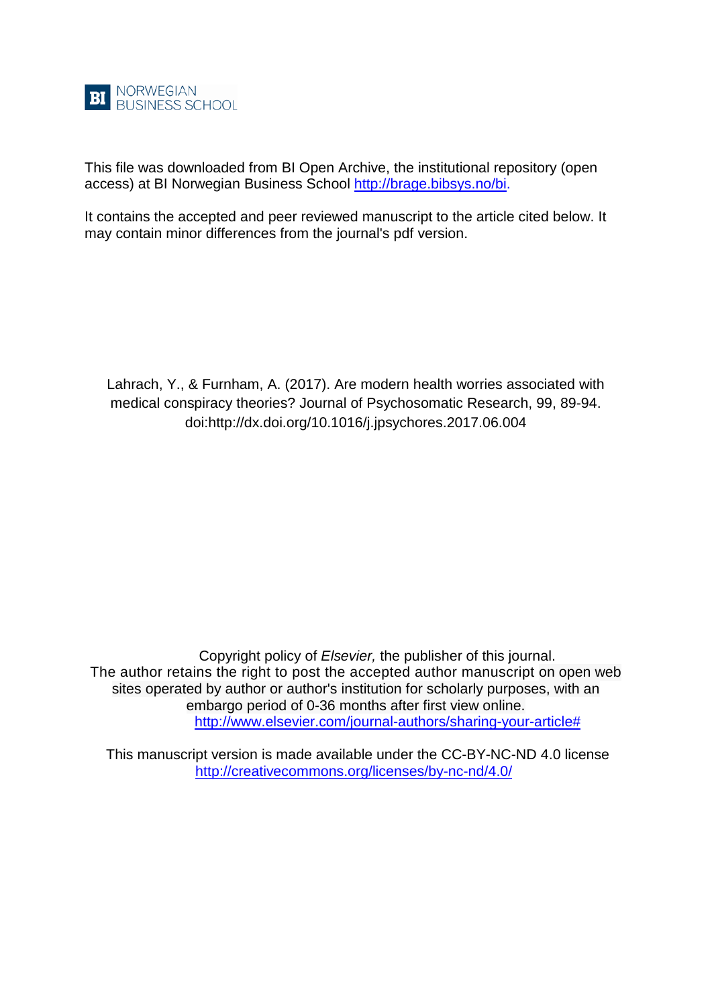

This file was downloaded from BI Open Archive, the institutional repository (open access) at BI Norwegian Business School [http://brage.bibsys.no/bi.](http://brage.bibsys.no/bi)

It contains the accepted and peer reviewed manuscript to the article cited below. It may contain minor differences from the journal's pdf version.

Lahrach, Y., & Furnham, A. (2017). Are modern health worries associated with medical conspiracy theories? Journal of Psychosomatic Research, 99, 89-94. doi:http://dx.doi.org/10.1016/j.jpsychores.2017.06.004

Copyright policy of *Elsevier,* the publisher of this journal. The author retains the right to post the accepted author manuscript on open web sites operated by author or author's institution for scholarly purposes, with an embargo period of 0-36 months after first view online. [http://www.elsevier.com/journal-authors/sharing-your-article#](http://www.elsevier.com/journal-authors/sharing-your-article)

This manuscript version is made available under the CC-BY-NC-ND 4.0 license <http://creativecommons.org/licenses/by-nc-nd/4.0/>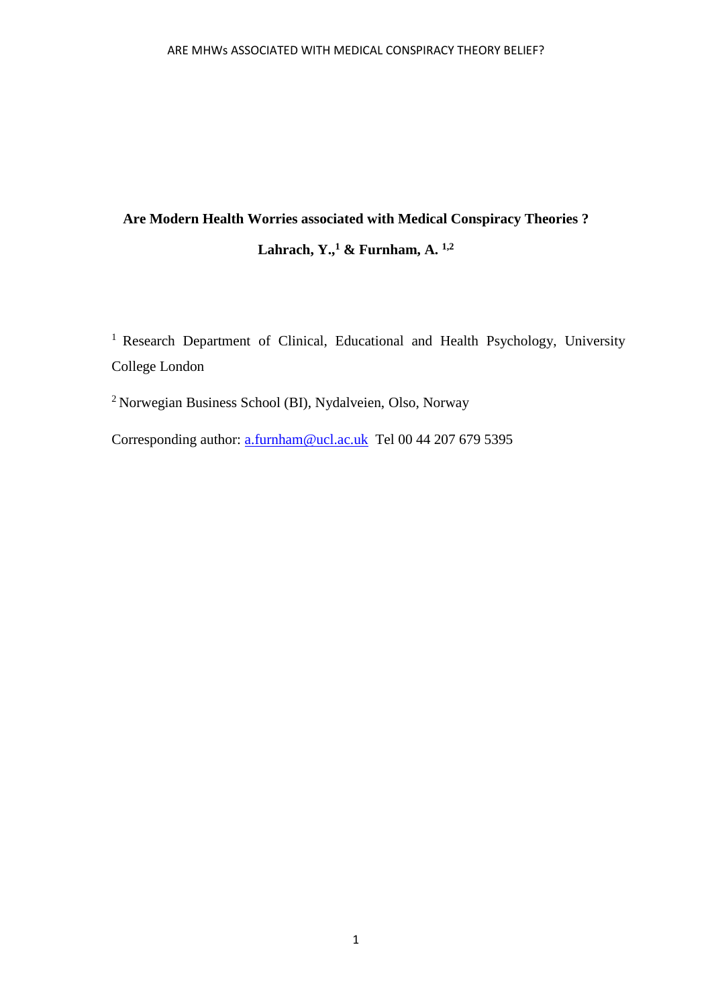# **Are Modern Health Worries associated with Medical Conspiracy Theories ? Lahrach, Y.,<sup>1</sup> & Furnham, A. 1,2**

<sup>1</sup> Research Department of Clinical, Educational and Health Psychology, University College London

<sup>2</sup>Norwegian Business School (BI), Nydalveien, Olso, Norway

Corresponding author: [a.furnham@ucl.ac.uk](mailto:a.furnham@ucl.ac.uk) Tel 00 44 207 679 5395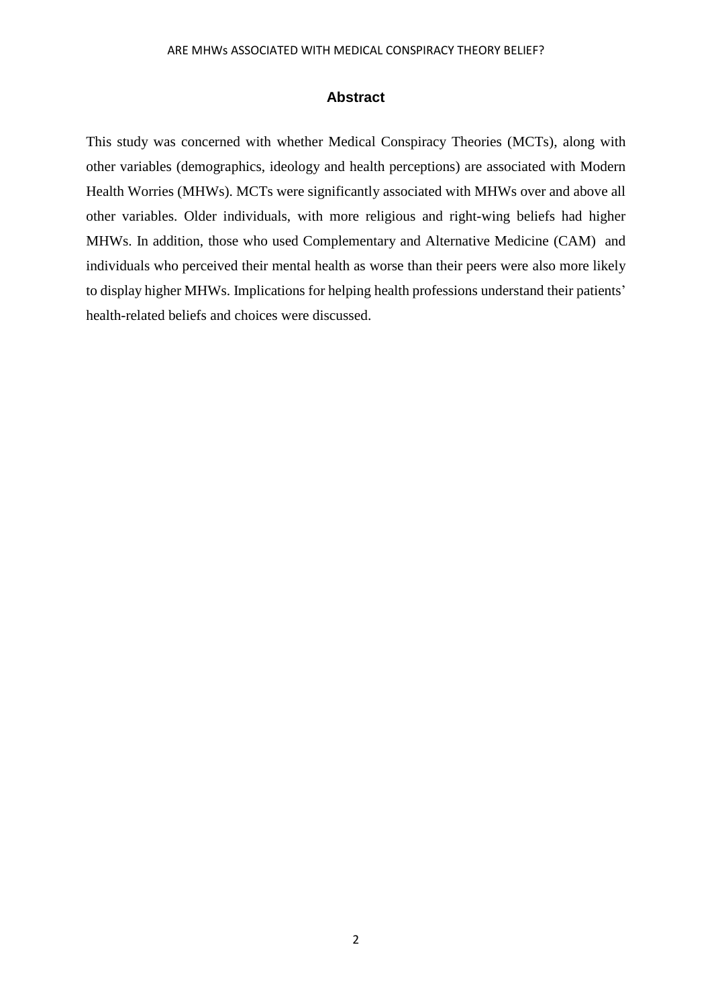#### **Abstract**

This study was concerned with whether Medical Conspiracy Theories (MCTs), along with other variables (demographics, ideology and health perceptions) are associated with Modern Health Worries (MHWs). MCTs were significantly associated with MHWs over and above all other variables. Older individuals, with more religious and right-wing beliefs had higher MHWs. In addition, those who used Complementary and Alternative Medicine (CAM) and individuals who perceived their mental health as worse than their peers were also more likely to display higher MHWs. Implications for helping health professions understand their patients' health-related beliefs and choices were discussed.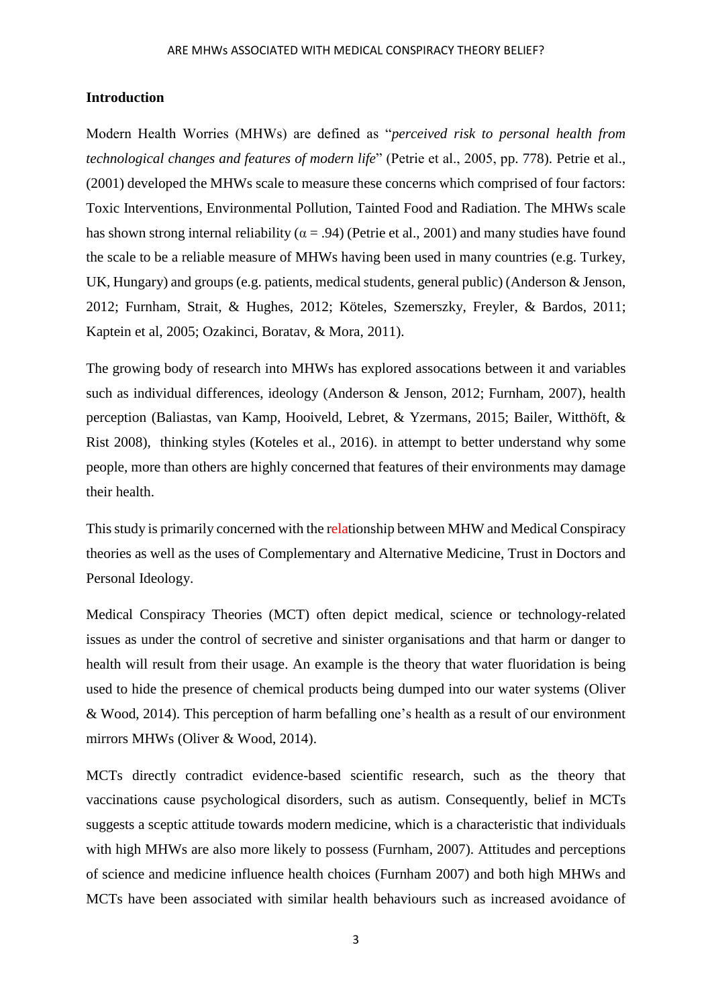## **Introduction**

Modern Health Worries (MHWs) are defined as "*perceived risk to personal health from technological changes and features of modern life*" (Petrie et al., 2005, pp. 778). Petrie et al., (2001) developed the MHWs scale to measure these concerns which comprised of four factors: Toxic Interventions, Environmental Pollution, Tainted Food and Radiation. The MHWs scale has shown strong internal reliability ( $\alpha$  = .94) (Petrie et al., 2001) and many studies have found the scale to be a reliable measure of MHWs having been used in many countries (e.g. Turkey, UK, Hungary) and groups (e.g. patients, medical students, general public) (Anderson & Jenson, 2012; Furnham, Strait, & Hughes, 2012; Köteles, Szemerszky, Freyler, & Bardos, 2011; Kaptein et al, 2005; Ozakinci, Boratav, & Mora, 2011).

The growing body of research into MHWs has explored assocations between it and variables such as individual differences, ideology (Anderson & Jenson, 2012; Furnham, 2007), health perception (Baliastas, van Kamp, Hooiveld, Lebret, & Yzermans, 2015; Bailer, Witthöft, & Rist 2008), thinking styles (Koteles et al., 2016). in attempt to better understand why some people, more than others are highly concerned that features of their environments may damage their health.

This study is primarily concerned with the relationship between MHW and Medical Conspiracy theories as well as the uses of Complementary and Alternative Medicine, Trust in Doctors and Personal Ideology.

Medical Conspiracy Theories (MCT) often depict medical, science or technology-related issues as under the control of secretive and sinister organisations and that harm or danger to health will result from their usage. An example is the theory that water fluoridation is being used to hide the presence of chemical products being dumped into our water systems (Oliver & Wood, 2014). This perception of harm befalling one's health as a result of our environment mirrors MHWs (Oliver & Wood, 2014).

MCTs directly contradict evidence-based scientific research, such as the theory that vaccinations cause psychological disorders, such as autism. Consequently, belief in MCTs suggests a sceptic attitude towards modern medicine, which is a characteristic that individuals with high MHWs are also more likely to possess (Furnham, 2007). Attitudes and perceptions of science and medicine influence health choices (Furnham 2007) and both high MHWs and MCTs have been associated with similar health behaviours such as increased avoidance of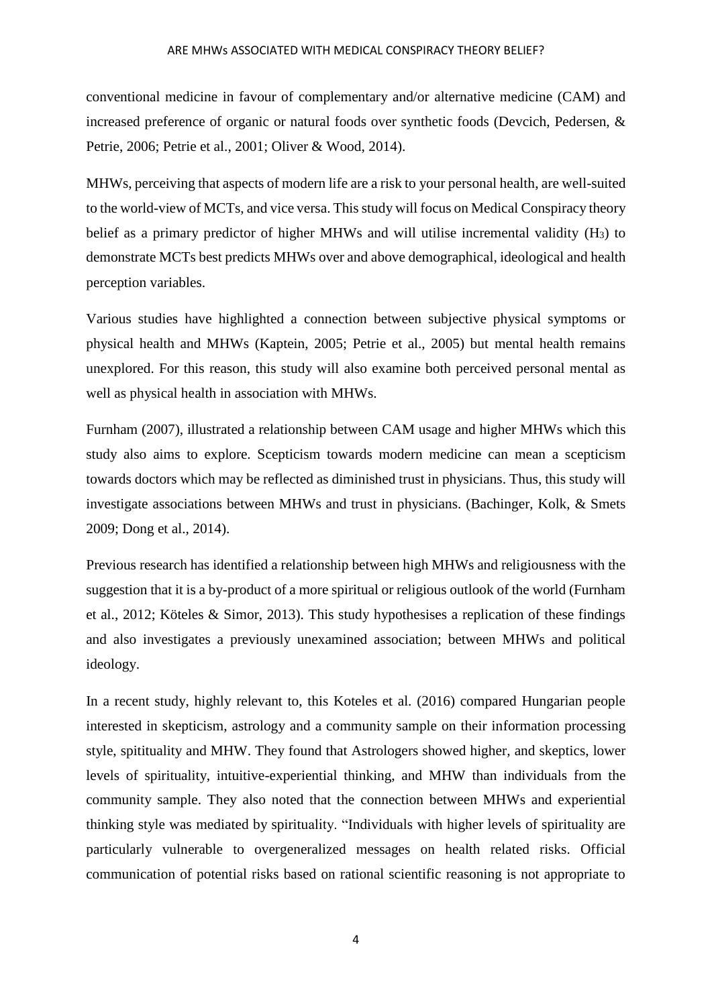#### ARE MHWs ASSOCIATED WITH MEDICAL CONSPIRACY THEORY BELIEF?

conventional medicine in favour of complementary and/or alternative medicine (CAM) and increased preference of organic or natural foods over synthetic foods (Devcich, Pedersen, & Petrie, 2006; Petrie et al., 2001; Oliver & Wood, 2014).

MHWs, perceiving that aspects of modern life are a risk to your personal health, are well-suited to the world-view of MCTs, and vice versa. This study will focus on Medical Conspiracy theory belief as a primary predictor of higher MHWs and will utilise incremental validity  $(H_3)$  to demonstrate MCTs best predicts MHWs over and above demographical, ideological and health perception variables.

Various studies have highlighted a connection between subjective physical symptoms or physical health and MHWs (Kaptein, 2005; Petrie et al., 2005) but mental health remains unexplored. For this reason, this study will also examine both perceived personal mental as well as physical health in association with MHWs.

Furnham (2007), illustrated a relationship between CAM usage and higher MHWs which this study also aims to explore. Scepticism towards modern medicine can mean a scepticism towards doctors which may be reflected as diminished trust in physicians. Thus, this study will investigate associations between MHWs and trust in physicians. (Bachinger, Kolk, & Smets 2009; Dong et al., 2014).

Previous research has identified a relationship between high MHWs and religiousness with the suggestion that it is a by-product of a more spiritual or religious outlook of the world (Furnham et al., 2012; Köteles & Simor, 2013). This study hypothesises a replication of these findings and also investigates a previously unexamined association; between MHWs and political ideology.

In a recent study, highly relevant to, this Koteles et al. (2016) compared Hungarian people interested in skepticism, astrology and a community sample on their information processing style, spitituality and MHW. They found that Astrologers showed higher, and skeptics, lower levels of spirituality, intuitive-experiential thinking, and MHW than individuals from the community sample. They also noted that the connection between MHWs and experiential thinking style was mediated by spirituality. "Individuals with higher levels of spirituality are particularly vulnerable to overgeneralized messages on health related risks. Official communication of potential risks based on rational scientific reasoning is not appropriate to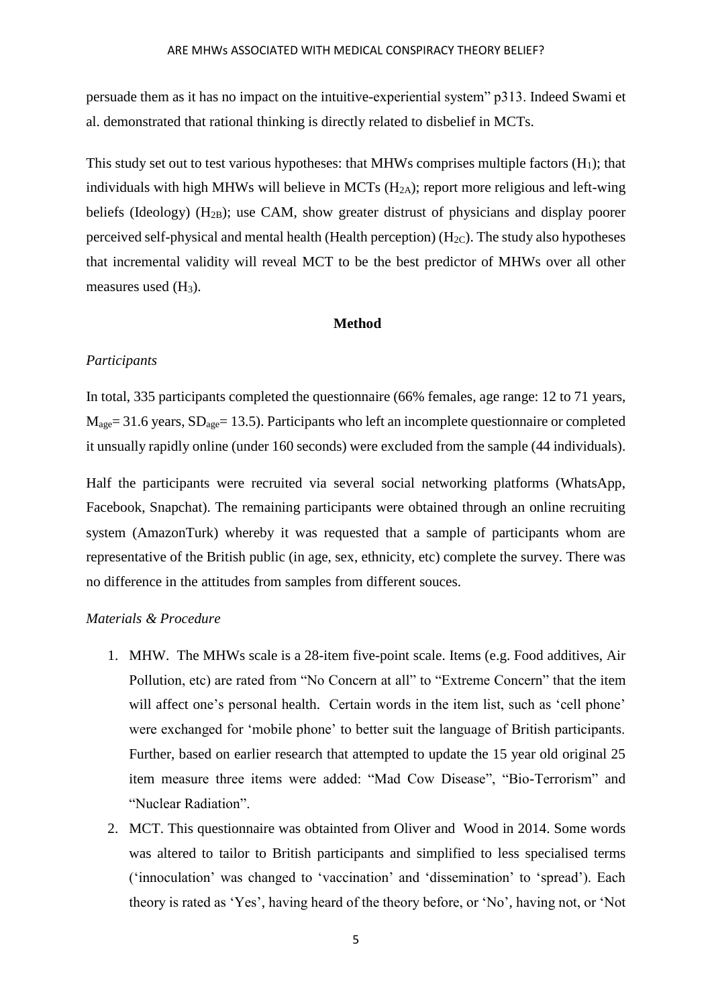persuade them as it has no impact on the intuitive-experiential system" p313. Indeed Swami et al. demonstrated that rational thinking is directly related to disbelief in MCTs.

This study set out to test various hypotheses: that MHWs comprises multiple factors  $(H_1)$ ; that individuals with high MHWs will believe in MCTs  $(H<sub>2A</sub>)$ ; report more religious and left-wing beliefs (Ideology)  $(H_{2B})$ ; use CAM, show greater distrust of physicians and display poorer perceived self-physical and mental health (Health perception) ( $H_{2C}$ ). The study also hypotheses that incremental validity will reveal MCT to be the best predictor of MHWs over all other measures used  $(H_3)$ .

## **Method**

### *Participants*

In total, 335 participants completed the questionnaire (66% females, age range: 12 to 71 years,  $M_{\text{age}}$  = 31.6 years,  $SD_{\text{age}}$  = 13.5). Participants who left an incomplete questionnaire or completed it unsually rapidly online (under 160 seconds) were excluded from the sample (44 individuals).

Half the participants were recruited via several social networking platforms (WhatsApp, Facebook, Snapchat). The remaining participants were obtained through an online recruiting system (AmazonTurk) whereby it was requested that a sample of participants whom are representative of the British public (in age, sex, ethnicity, etc) complete the survey. There was no difference in the attitudes from samples from different souces.

#### *Materials & Procedure*

- 1. MHW. The MHWs scale is a 28-item five-point scale. Items (e.g. Food additives, Air Pollution, etc) are rated from "No Concern at all" to "Extreme Concern" that the item will affect one's personal health. Certain words in the item list, such as 'cell phone' were exchanged for 'mobile phone' to better suit the language of British participants. Further, based on earlier research that attempted to update the 15 year old original 25 item measure three items were added: "Mad Cow Disease", "Bio-Terrorism" and "Nuclear Radiation".
- 2. MCT. This questionnaire was obtainted from Oliver and Wood in 2014. Some words was altered to tailor to British participants and simplified to less specialised terms ('innoculation' was changed to 'vaccination' and 'dissemination' to 'spread'). Each theory is rated as 'Yes', having heard of the theory before, or 'No', having not, or 'Not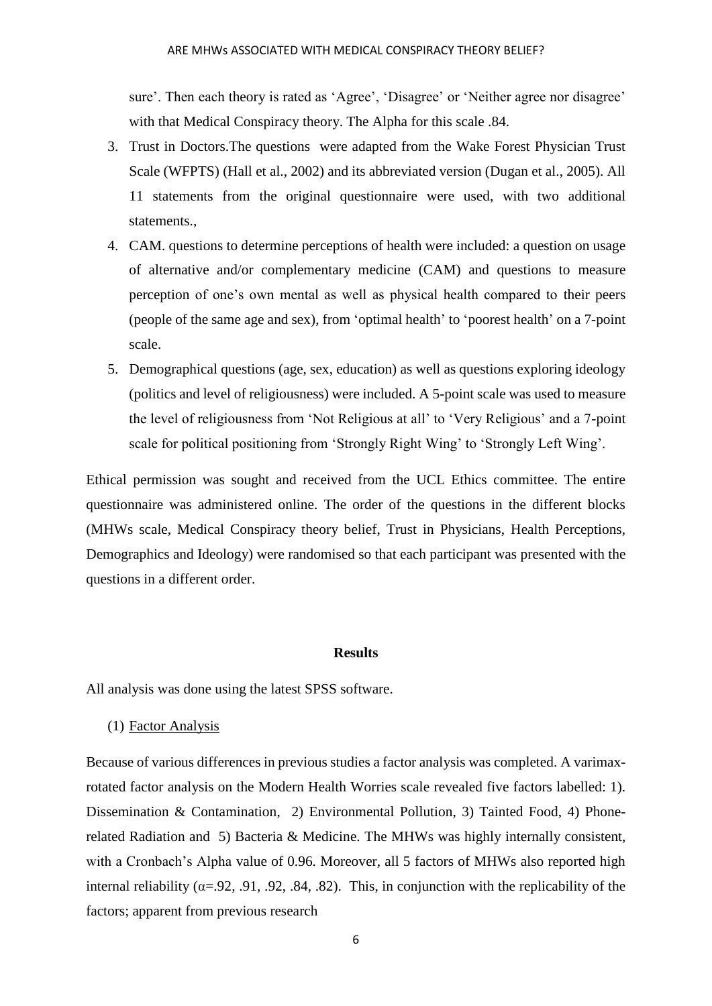sure'. Then each theory is rated as 'Agree', 'Disagree' or 'Neither agree nor disagree' with that Medical Conspiracy theory. The Alpha for this scale .84.

- 3. Trust in Doctors.The questions were adapted from the Wake Forest Physician Trust Scale (WFPTS) (Hall et al., 2002) and its abbreviated version (Dugan et al., 2005). All 11 statements from the original questionnaire were used, with two additional statements.,
- 4. CAM. questions to determine perceptions of health were included: a question on usage of alternative and/or complementary medicine (CAM) and questions to measure perception of one's own mental as well as physical health compared to their peers (people of the same age and sex), from 'optimal health' to 'poorest health' on a 7-point scale.
- 5. Demographical questions (age, sex, education) as well as questions exploring ideology (politics and level of religiousness) were included. A 5-point scale was used to measure the level of religiousness from 'Not Religious at all' to 'Very Religious' and a 7-point scale for political positioning from 'Strongly Right Wing' to 'Strongly Left Wing'.

Ethical permission was sought and received from the UCL Ethics committee. The entire questionnaire was administered online. The order of the questions in the different blocks (MHWs scale, Medical Conspiracy theory belief, Trust in Physicians, Health Perceptions, Demographics and Ideology) were randomised so that each participant was presented with the questions in a different order.

### **Results**

All analysis was done using the latest SPSS software.

(1) Factor Analysis

Because of various differences in previous studies a factor analysis was completed. A varimaxrotated factor analysis on the Modern Health Worries scale revealed five factors labelled: 1). Dissemination & Contamination, 2) Environmental Pollution, 3) Tainted Food, 4) Phonerelated Radiation and 5) Bacteria & Medicine. The MHWs was highly internally consistent, with a Cronbach's Alpha value of 0.96. Moreover, all 5 factors of MHWs also reported high internal reliability ( $\alpha = 92, .91, .92, .84, .82$ ). This, in conjunction with the replicability of the factors; apparent from previous research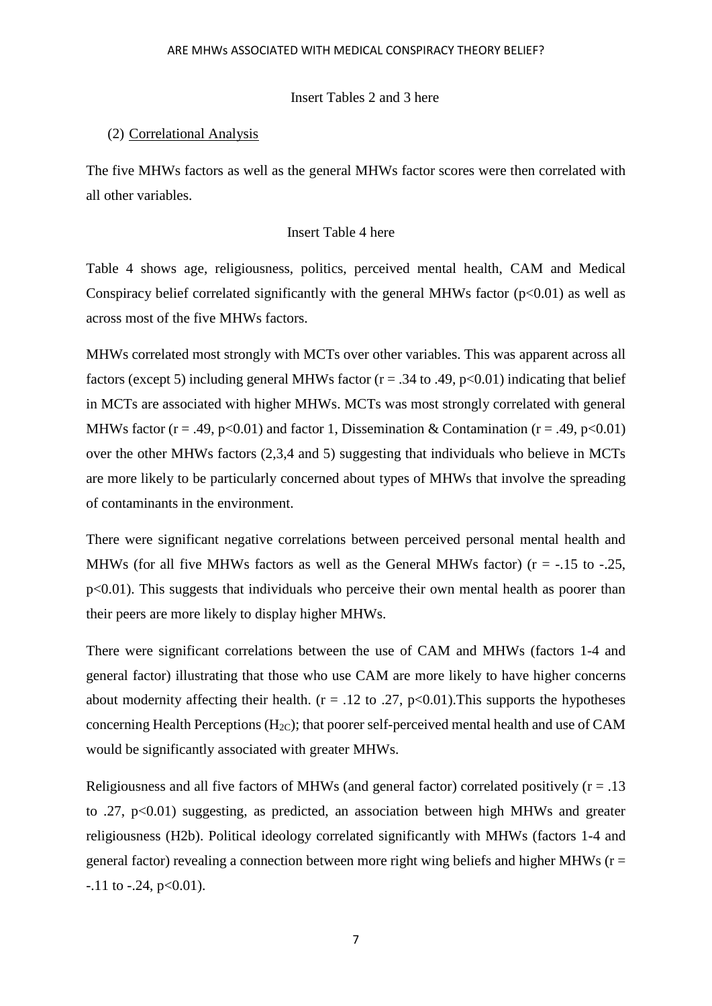#### Insert Tables 2 and 3 here

#### (2) Correlational Analysis

The five MHWs factors as well as the general MHWs factor scores were then correlated with all other variables.

## Insert Table 4 here

Table 4 shows age, religiousness, politics, perceived mental health, CAM and Medical Conspiracy belief correlated significantly with the general MHWs factor  $(p<0.01)$  as well as across most of the five MHWs factors.

MHWs correlated most strongly with MCTs over other variables. This was apparent across all factors (except 5) including general MHWs factor ( $r = .34$  to .49, p<0.01) indicating that belief in MCTs are associated with higher MHWs. MCTs was most strongly correlated with general MHWs factor (r = .49, p<0.01) and factor 1, Dissemination & Contamination (r = .49, p<0.01) over the other MHWs factors (2,3,4 and 5) suggesting that individuals who believe in MCTs are more likely to be particularly concerned about types of MHWs that involve the spreading of contaminants in the environment.

There were significant negative correlations between perceived personal mental health and MHWs (for all five MHWs factors as well as the General MHWs factor) ( $r = -15$  to  $-25$ , p<0.01). This suggests that individuals who perceive their own mental health as poorer than their peers are more likely to display higher MHWs.

There were significant correlations between the use of CAM and MHWs (factors 1-4 and general factor) illustrating that those who use CAM are more likely to have higher concerns about modernity affecting their health. ( $r = .12$  to .27, p<0.01). This supports the hypotheses concerning Health Perceptions ( $H_{2C}$ ); that poorer self-perceived mental health and use of CAM would be significantly associated with greater MHWs.

Religiousness and all five factors of MHWs (and general factor) correlated positively  $(r = .13$ to .27, p<0.01) suggesting, as predicted, an association between high MHWs and greater religiousness (H2b). Political ideology correlated significantly with MHWs (factors 1-4 and general factor) revealing a connection between more right wing beliefs and higher MHWs ( $r =$  $-11$  to  $-24$ ,  $p<0.01$ ).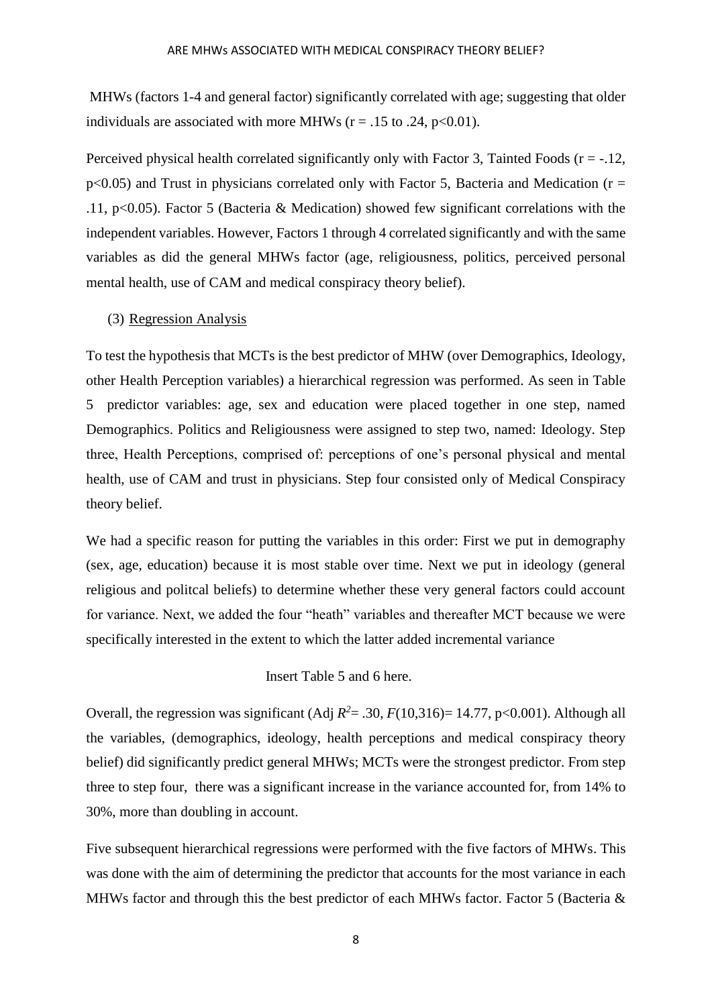MHWs (factors 1-4 and general factor) significantly correlated with age; suggesting that older individuals are associated with more MHWs ( $r = .15$  to .24,  $p < 0.01$ ).

Perceived physical health correlated significantly only with Factor 3, Tainted Foods ( $r = -12$ ,  $p<0.05$ ) and Trust in physicians correlated only with Factor 5, Bacteria and Medication ( $r =$ .11, p<0.05). Factor 5 (Bacteria & Medication) showed few significant correlations with the independent variables. However, Factors 1 through 4 correlated significantly and with the same variables as did the general MHWs factor (age, religiousness, politics, perceived personal mental health, use of CAM and medical conspiracy theory belief).

#### (3) Regression Analysis

To test the hypothesis that MCTs is the best predictor of MHW (over Demographics, Ideology, other Health Perception variables) a hierarchical regression was performed. As seen in Table 5 predictor variables: age, sex and education were placed together in one step, named Demographics. Politics and Religiousness were assigned to step two, named: Ideology. Step three, Health Perceptions, comprised of: perceptions of one's personal physical and mental health, use of CAM and trust in physicians. Step four consisted only of Medical Conspiracy theory belief.

We had a specific reason for putting the variables in this order: First we put in demography (sex, age, education) because it is most stable over time. Next we put in ideology (general religious and politcal beliefs) to determine whether these very general factors could account for variance. Next, we added the four "heath" variables and thereafter MCT because we were specifically interested in the extent to which the latter added incremental variance

## Insert Table 5 and 6 here.

Overall, the regression was significant (Adj  $R^2 = .30$ ,  $F(10,316) = 14.77$ ,  $p < 0.001$ ). Although all the variables, (demographics, ideology, health perceptions and medical conspiracy theory belief) did significantly predict general MHWs; MCTs were the strongest predictor. From step three to step four, there was a significant increase in the variance accounted for, from 14% to 30%, more than doubling in account.

Five subsequent hierarchical regressions were performed with the five factors of MHWs. This was done with the aim of determining the predictor that accounts for the most variance in each MHWs factor and through this the best predictor of each MHWs factor. Factor 5 (Bacteria &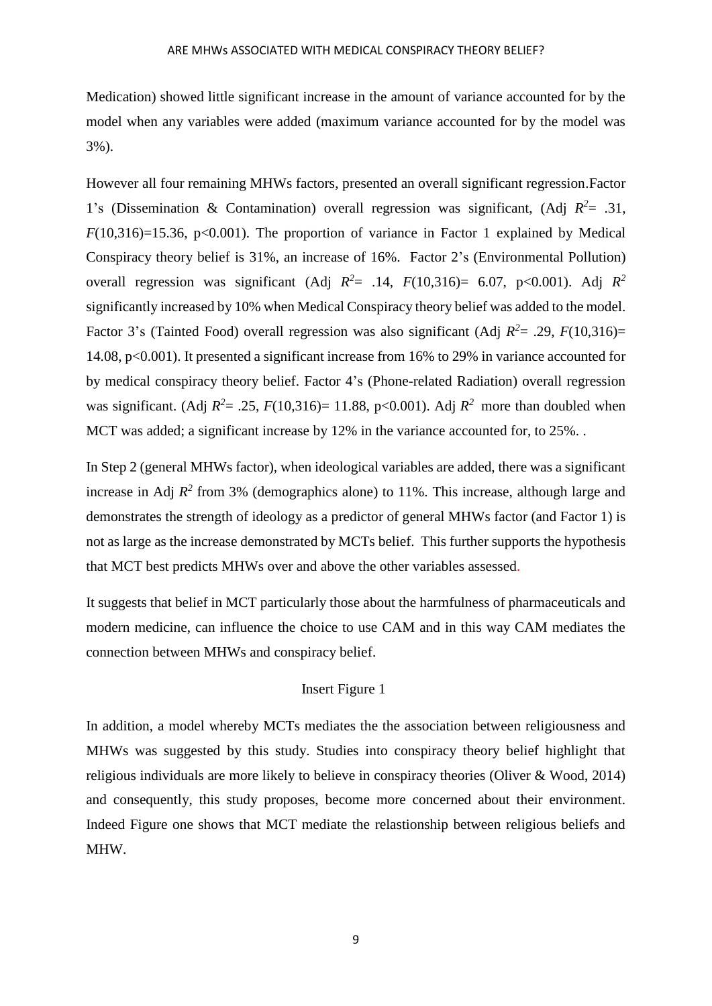Medication) showed little significant increase in the amount of variance accounted for by the model when any variables were added (maximum variance accounted for by the model was 3%).

However all four remaining MHWs factors, presented an overall significant regression.Factor 1's (Dissemination & Contamination) overall regression was significant, (Adj *R <sup>2</sup>*= .31,  $F(10,316)=15.36$ ,  $p<0.001$ ). The proportion of variance in Factor 1 explained by Medical Conspiracy theory belief is 31%, an increase of 16%. Factor 2's (Environmental Pollution) overall regression was significant (Adj  $R^2 = .14$ ,  $F(10,316) = 6.07$ , p<0.001). Adj  $R^2$ significantly increased by 10% when Medical Conspiracy theory belief was added to the model. Factor 3's (Tainted Food) overall regression was also significant (Adj  $R^2 = .29$ ,  $F(10,316) =$ 14.08, p<0.001). It presented a significant increase from 16% to 29% in variance accounted for by medical conspiracy theory belief. Factor 4's (Phone-related Radiation) overall regression was significant. (Adj  $R^2 = .25$ ,  $F(10,316) = 11.88$ ,  $p < 0.001$ ). Adj  $R^2$  more than doubled when MCT was added; a significant increase by 12% in the variance accounted for, to 25%.

In Step 2 (general MHWs factor), when ideological variables are added, there was a significant increase in Adj  $R^2$  from 3% (demographics alone) to 11%. This increase, although large and demonstrates the strength of ideology as a predictor of general MHWs factor (and Factor 1) is not as large as the increase demonstrated by MCTs belief. This further supports the hypothesis that MCT best predicts MHWs over and above the other variables assessed.

It suggests that belief in MCT particularly those about the harmfulness of pharmaceuticals and modern medicine, can influence the choice to use CAM and in this way CAM mediates the connection between MHWs and conspiracy belief.

#### Insert Figure 1

In addition, a model whereby MCTs mediates the the association between religiousness and MHWs was suggested by this study. Studies into conspiracy theory belief highlight that religious individuals are more likely to believe in conspiracy theories (Oliver & Wood, 2014) and consequently, this study proposes, become more concerned about their environment. Indeed Figure one shows that MCT mediate the relastionship between religious beliefs and MHW.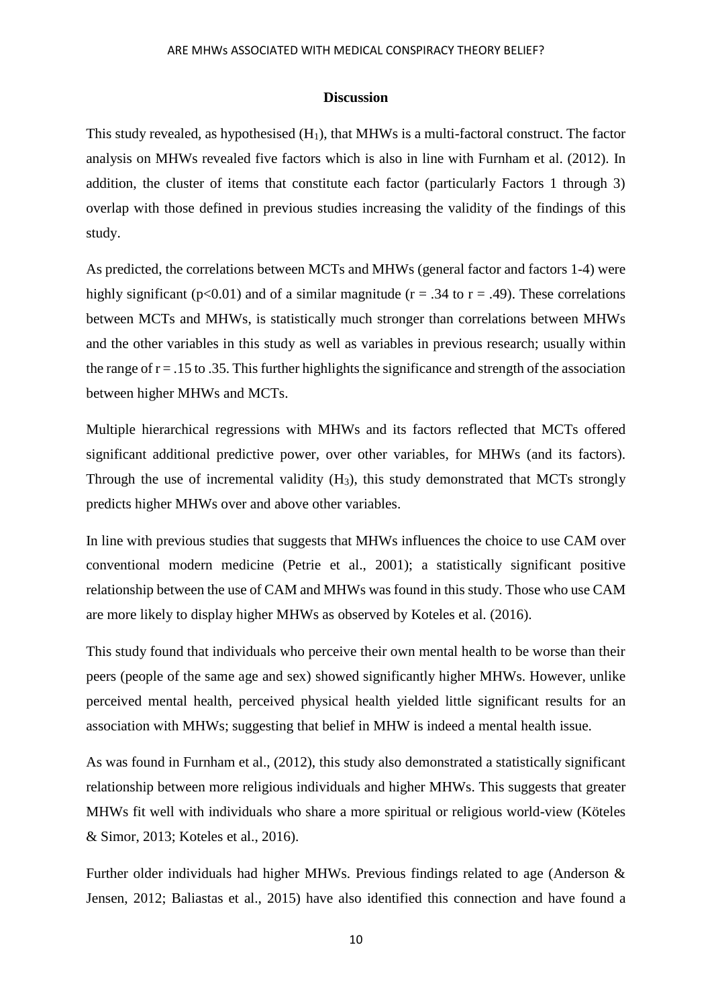#### **Discussion**

This study revealed, as hypothesised  $(H_1)$ , that MHWs is a multi-factoral construct. The factor analysis on MHWs revealed five factors which is also in line with Furnham et al. (2012). In addition, the cluster of items that constitute each factor (particularly Factors 1 through 3) overlap with those defined in previous studies increasing the validity of the findings of this study.

As predicted, the correlations between MCTs and MHWs (general factor and factors 1-4) were highly significant ( $p<0.01$ ) and of a similar magnitude ( $r = .34$  to  $r = .49$ ). These correlations between MCTs and MHWs, is statistically much stronger than correlations between MHWs and the other variables in this study as well as variables in previous research; usually within the range of  $r = 0.15$  to 0.35. This further highlights the significance and strength of the association between higher MHWs and MCTs.

Multiple hierarchical regressions with MHWs and its factors reflected that MCTs offered significant additional predictive power, over other variables, for MHWs (and its factors). Through the use of incremental validity  $(H_3)$ , this study demonstrated that MCTs strongly predicts higher MHWs over and above other variables.

In line with previous studies that suggests that MHWs influences the choice to use CAM over conventional modern medicine (Petrie et al., 2001); a statistically significant positive relationship between the use of CAM and MHWs was found in this study. Those who use CAM are more likely to display higher MHWs as observed by Koteles et al. (2016).

This study found that individuals who perceive their own mental health to be worse than their peers (people of the same age and sex) showed significantly higher MHWs. However, unlike perceived mental health, perceived physical health yielded little significant results for an association with MHWs; suggesting that belief in MHW is indeed a mental health issue.

As was found in Furnham et al., (2012), this study also demonstrated a statistically significant relationship between more religious individuals and higher MHWs. This suggests that greater MHWs fit well with individuals who share a more spiritual or religious world-view (Köteles & Simor, 2013; Koteles et al., 2016).

Further older individuals had higher MHWs. Previous findings related to age (Anderson & Jensen, 2012; Baliastas et al., 2015) have also identified this connection and have found a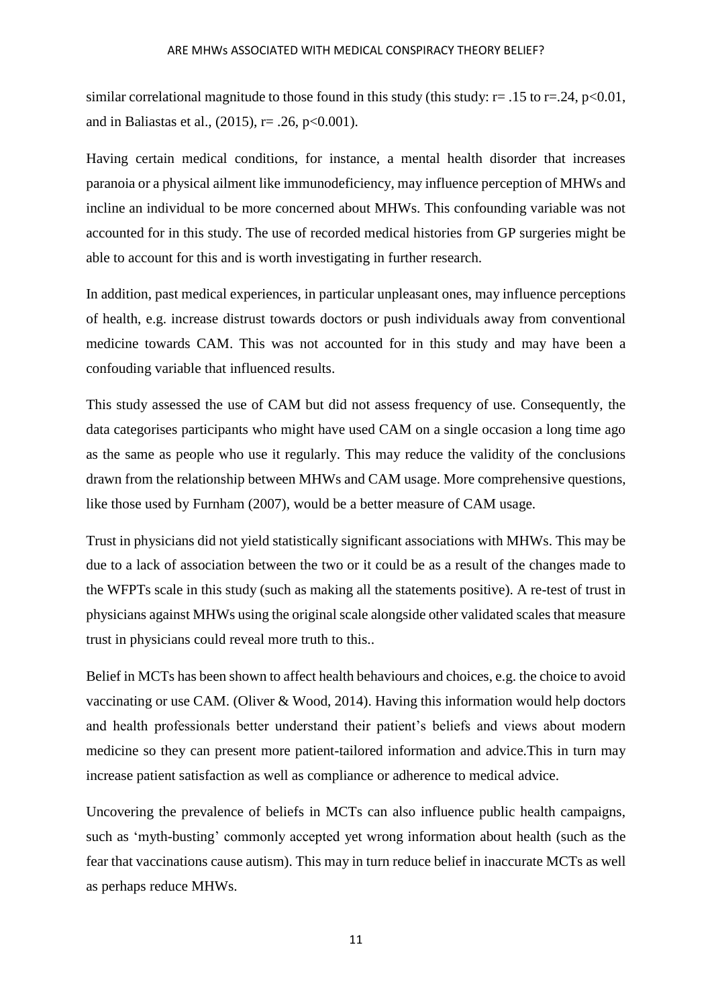similar correlational magnitude to those found in this study (this study:  $r = .15$  to  $r = .24$ ,  $p < 0.01$ , and in Baliastas et al.,  $(2015)$ , r= .26, p<0.001).

Having certain medical conditions, for instance, a mental health disorder that increases paranoia or a physical ailment like immunodeficiency, may influence perception of MHWs and incline an individual to be more concerned about MHWs. This confounding variable was not accounted for in this study. The use of recorded medical histories from GP surgeries might be able to account for this and is worth investigating in further research.

In addition, past medical experiences, in particular unpleasant ones, may influence perceptions of health, e.g. increase distrust towards doctors or push individuals away from conventional medicine towards CAM. This was not accounted for in this study and may have been a confouding variable that influenced results.

This study assessed the use of CAM but did not assess frequency of use. Consequently, the data categorises participants who might have used CAM on a single occasion a long time ago as the same as people who use it regularly. This may reduce the validity of the conclusions drawn from the relationship between MHWs and CAM usage. More comprehensive questions, like those used by Furnham (2007), would be a better measure of CAM usage.

Trust in physicians did not yield statistically significant associations with MHWs. This may be due to a lack of association between the two or it could be as a result of the changes made to the WFPTs scale in this study (such as making all the statements positive). A re-test of trust in physicians against MHWs using the original scale alongside other validated scales that measure trust in physicians could reveal more truth to this..

Belief in MCTs has been shown to affect health behaviours and choices, e.g. the choice to avoid vaccinating or use CAM. (Oliver & Wood, 2014). Having this information would help doctors and health professionals better understand their patient's beliefs and views about modern medicine so they can present more patient-tailored information and advice.This in turn may increase patient satisfaction as well as compliance or adherence to medical advice.

Uncovering the prevalence of beliefs in MCTs can also influence public health campaigns, such as 'myth-busting' commonly accepted yet wrong information about health (such as the fear that vaccinations cause autism). This may in turn reduce belief in inaccurate MCTs as well as perhaps reduce MHWs.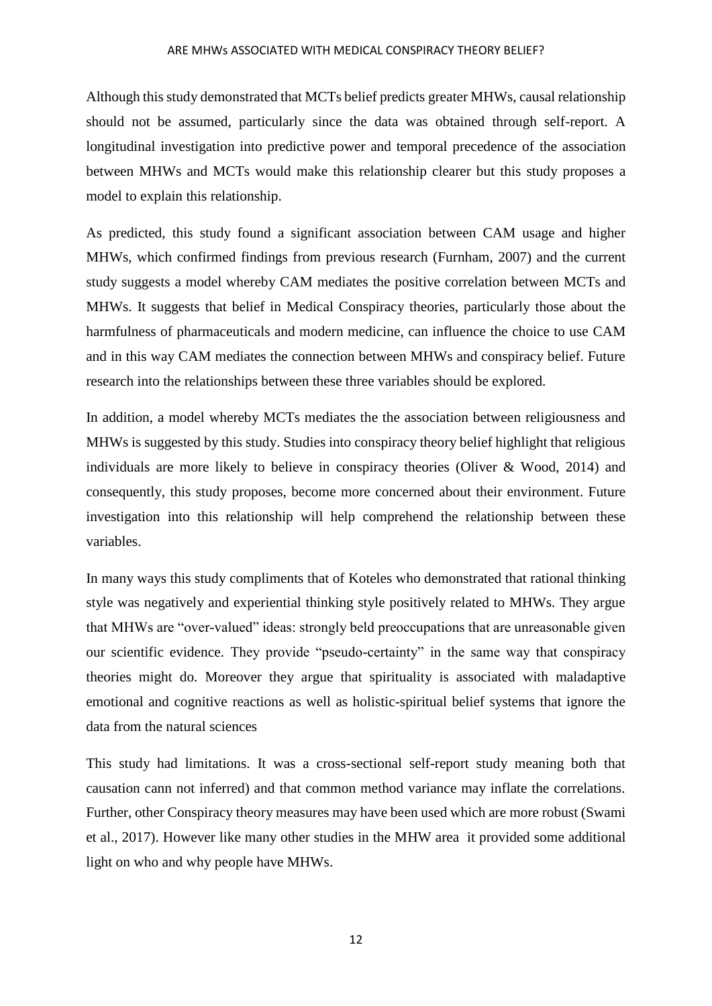#### ARE MHWs ASSOCIATED WITH MEDICAL CONSPIRACY THEORY BELIEF?

Although this study demonstrated that MCTs belief predicts greater MHWs, causal relationship should not be assumed, particularly since the data was obtained through self-report. A longitudinal investigation into predictive power and temporal precedence of the association between MHWs and MCTs would make this relationship clearer but this study proposes a model to explain this relationship.

As predicted, this study found a significant association between CAM usage and higher MHWs, which confirmed findings from previous research (Furnham, 2007) and the current study suggests a model whereby CAM mediates the positive correlation between MCTs and MHWs. It suggests that belief in Medical Conspiracy theories, particularly those about the harmfulness of pharmaceuticals and modern medicine, can influence the choice to use CAM and in this way CAM mediates the connection between MHWs and conspiracy belief. Future research into the relationships between these three variables should be explored.

In addition, a model whereby MCTs mediates the the association between religiousness and MHWs is suggested by this study. Studies into conspiracy theory belief highlight that religious individuals are more likely to believe in conspiracy theories (Oliver & Wood, 2014) and consequently, this study proposes, become more concerned about their environment. Future investigation into this relationship will help comprehend the relationship between these variables.

In many ways this study compliments that of Koteles who demonstrated that rational thinking style was negatively and experiential thinking style positively related to MHWs. They argue that MHWs are "over-valued" ideas: strongly beld preoccupations that are unreasonable given our scientific evidence. They provide "pseudo-certainty" in the same way that conspiracy theories might do. Moreover they argue that spirituality is associated with maladaptive emotional and cognitive reactions as well as holistic-spiritual belief systems that ignore the data from the natural sciences

This study had limitations. It was a cross-sectional self-report study meaning both that causation cann not inferred) and that common method variance may inflate the correlations. Further, other Conspiracy theory measures may have been used which are more robust (Swami et al., 2017). However like many other studies in the MHW area it provided some additional light on who and why people have MHWs.

12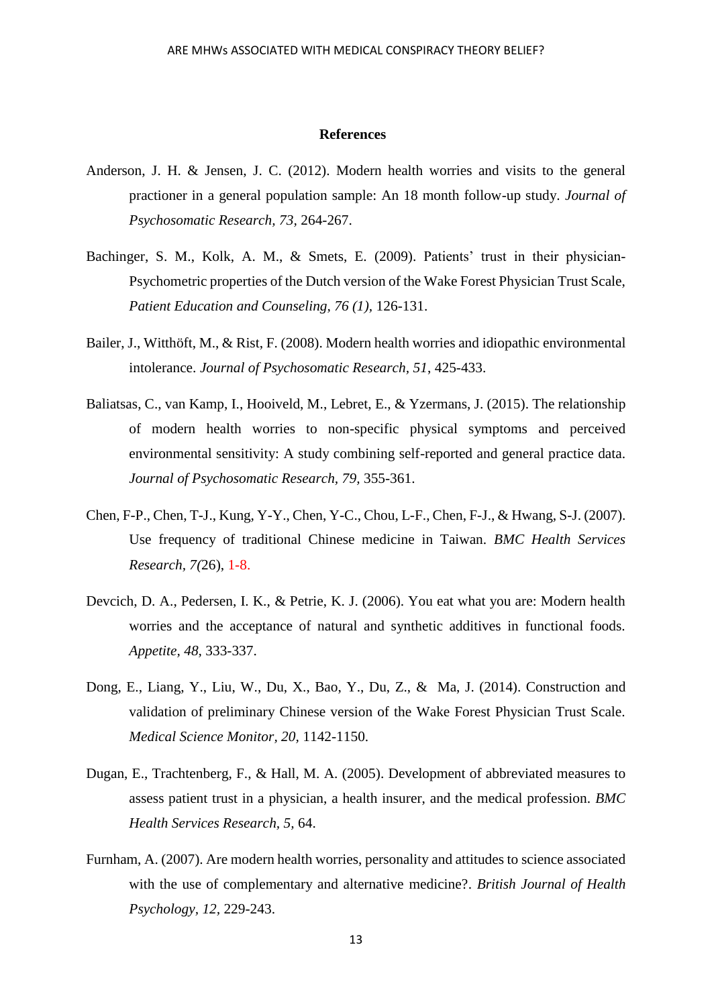#### **References**

- Anderson, J. H. & Jensen, J. C. (2012). Modern health worries and visits to the general practioner in a general population sample: An 18 month follow-up study. *Journal of Psychosomatic Research, 73,* 264-267.
- Bachinger, S. M., Kolk, A. M., & Smets, E. (2009). Patients' trust in their physician-Psychometric properties of the Dutch version of the Wake Forest Physician Trust Scale, *Patient Education and Counseling, 76 (1),* 126-131.
- Bailer, J., Witthöft, M., & Rist, F. (2008). Modern health worries and idiopathic environmental intolerance. *Journal of Psychosomatic Research, 51*, 425-433.
- Baliatsas, C., van Kamp, I., Hooiveld, M., Lebret, E., & Yzermans, J. (2015). The relationship of modern health worries to non-specific physical symptoms and perceived environmental sensitivity: A study combining self-reported and general practice data. *Journal of Psychosomatic Research, 79,* 355-361.
- Chen, F-P., Chen, T-J., Kung, Y-Y., Chen, Y-C., Chou, L-F., Chen, F-J., & Hwang, S-J. (2007). Use frequency of traditional Chinese medicine in Taiwan. *BMC Health Services Research, 7(*26), 1-8.
- Devcich, D. A., Pedersen, I. K., & Petrie, K. J. (2006). You eat what you are: Modern health worries and the acceptance of natural and synthetic additives in functional foods. *Appetite, 48,* 333-337.
- Dong, E., Liang, Y., Liu, W., Du, X., Bao, Y., Du, Z., & Ma, J. (2014). Construction and validation of preliminary Chinese version of the Wake Forest Physician Trust Scale. *Medical Science Monitor, 20,* 1142-1150.
- Dugan, E., Trachtenberg, F., & Hall, M. A. (2005). Development of abbreviated measures to assess patient trust in a physician, a health insurer, and the medical profession. *BMC Health Services Research, 5,* 64.
- Furnham, A. (2007). Are modern health worries, personality and attitudes to science associated with the use of complementary and alternative medicine?. *British Journal of Health Psychology, 12,* 229-243.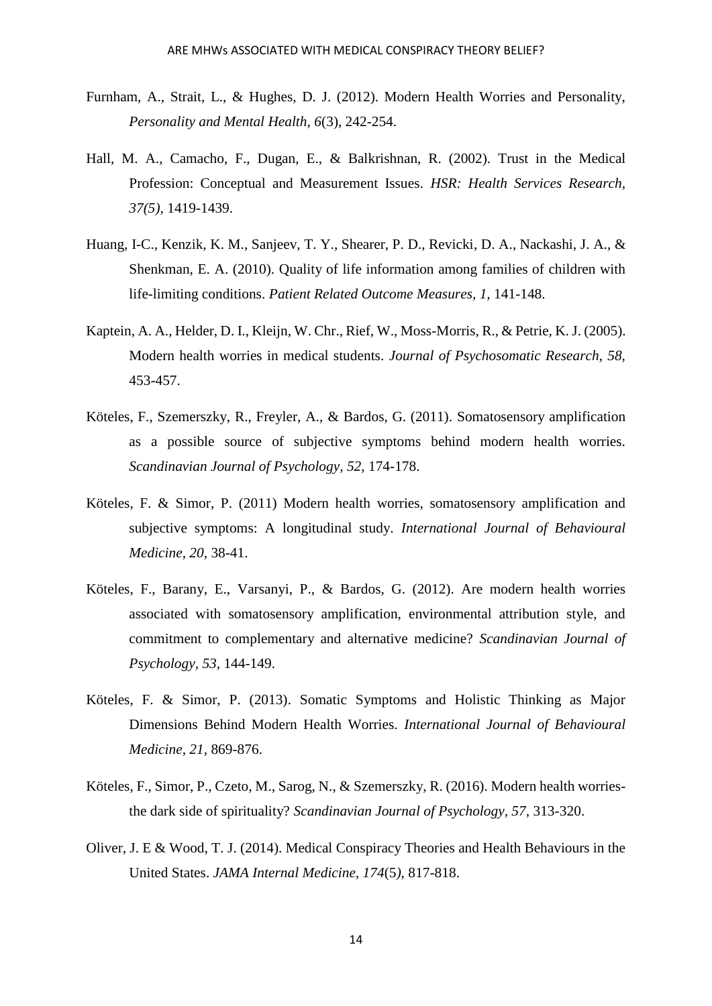- Furnham, A., Strait, L., & Hughes, D. J. (2012). Modern Health Worries and Personality, *Personality and Mental Health, 6*(3), 242-254.
- Hall, M. A., Camacho, F., Dugan, E., & Balkrishnan, R. (2002). Trust in the Medical Profession: Conceptual and Measurement Issues. *HSR: Health Services Research, 37(5),* 1419-1439.
- Huang, I-C., Kenzik, K. M., Sanjeev, T. Y., Shearer, P. D., Revicki, D. A., Nackashi, J. A., & Shenkman, E. A. (2010). Quality of life information among families of children with life-limiting conditions. *Patient Related Outcome Measures, 1,* 141-148.
- Kaptein, A. A., Helder, D. I., Kleijn, W. Chr., Rief, W., Moss-Morris, R., & Petrie, K. J. (2005). Modern health worries in medical students. *Journal of Psychosomatic Research, 58,*  453-457.
- Köteles, F., Szemerszky, R., Freyler, A., & Bardos, G. (2011). Somatosensory amplification as a possible source of subjective symptoms behind modern health worries. *Scandinavian Journal of Psychology, 52*, 174-178.
- Köteles, F. & Simor, P. (2011) Modern health worries, somatosensory amplification and subjective symptoms: A longitudinal study. *International Journal of Behavioural Medicine, 20*, 38-41.
- Köteles, F., Barany, E., Varsanyi, P., & Bardos, G. (2012). Are modern health worries associated with somatosensory amplification, environmental attribution style, and commitment to complementary and alternative medicine? *Scandinavian Journal of Psychology, 53,* 144-149.
- Köteles, F. & Simor, P. (2013). Somatic Symptoms and Holistic Thinking as Major Dimensions Behind Modern Health Worries. *International Journal of Behavioural Medicine, 21,* 869-876.
- Köteles, F., Simor, P., Czeto, M., Sarog, N., & Szemerszky, R. (2016). Modern health worriesthe dark side of spirituality? *Scandinavian Journal of Psychology, 57,* 313-320.
- Oliver, J. E & Wood, T. J. (2014). Medical Conspiracy Theories and Health Behaviours in the United States. *JAMA Internal Medicine, 174*(5*)*, 817-818.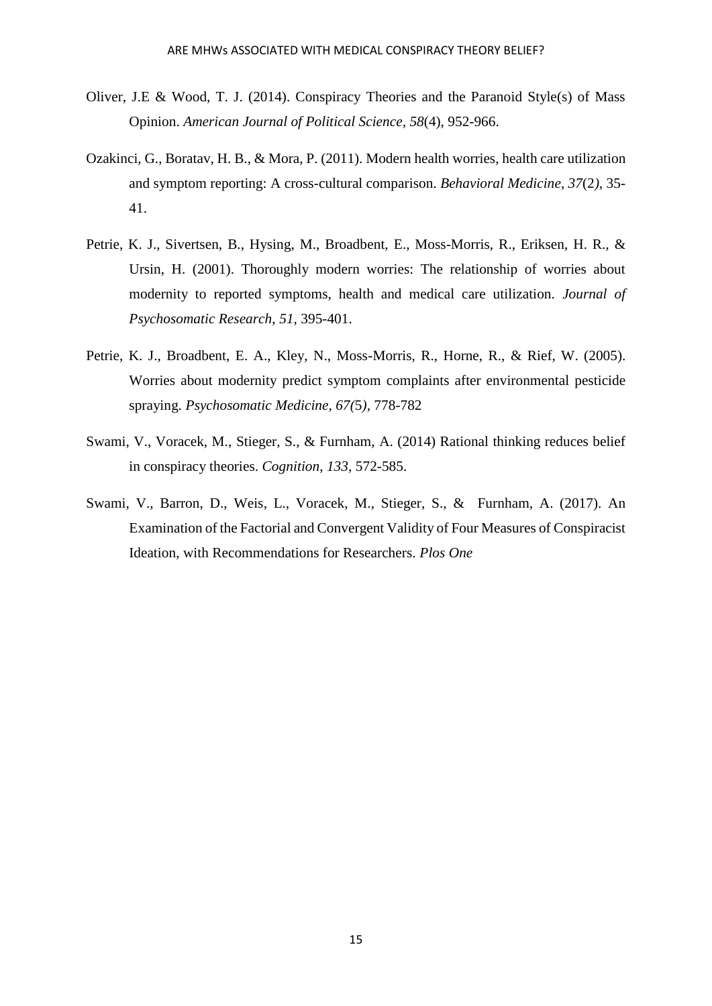- Oliver, J.E & Wood, T. J. (2014). Conspiracy Theories and the Paranoid Style(s) of Mass Opinion. *American Journal of Political Science, 58*(4), 952-966.
- Ozakinci, G., Boratav, H. B., & Mora, P. (2011). Modern health worries, health care utilization and symptom reporting: A cross-cultural comparison. *Behavioral Medicine, 37*(2*),* 35- 41.
- Petrie, K. J., Sivertsen, B., Hysing, M., Broadbent, E., Moss-Morris, R., Eriksen, H. R., & Ursin, H. (2001). Thoroughly modern worries: The relationship of worries about modernity to reported symptoms, health and medical care utilization. *Journal of Psychosomatic Research*, *51,* 395-401.
- Petrie, K. J., Broadbent, E. A., Kley, N., Moss-Morris, R., Horne, R., & Rief, W. (2005). Worries about modernity predict symptom complaints after environmental pesticide spraying. *Psychosomatic Medicine, 67(*5*),* 778-782
- Swami, V., Voracek, M., Stieger, S., & Furnham, A. (2014) Rational thinking reduces belief in conspiracy theories. *Cognition, 133,* 572-585.
- Swami, V., Barron, D., Weis, L., Voracek, M., Stieger, S., & Furnham, A. (2017). An Examination of the Factorial and Convergent Validity of Four Measures of Conspiracist Ideation, with Recommendations for Researchers. *Plos One*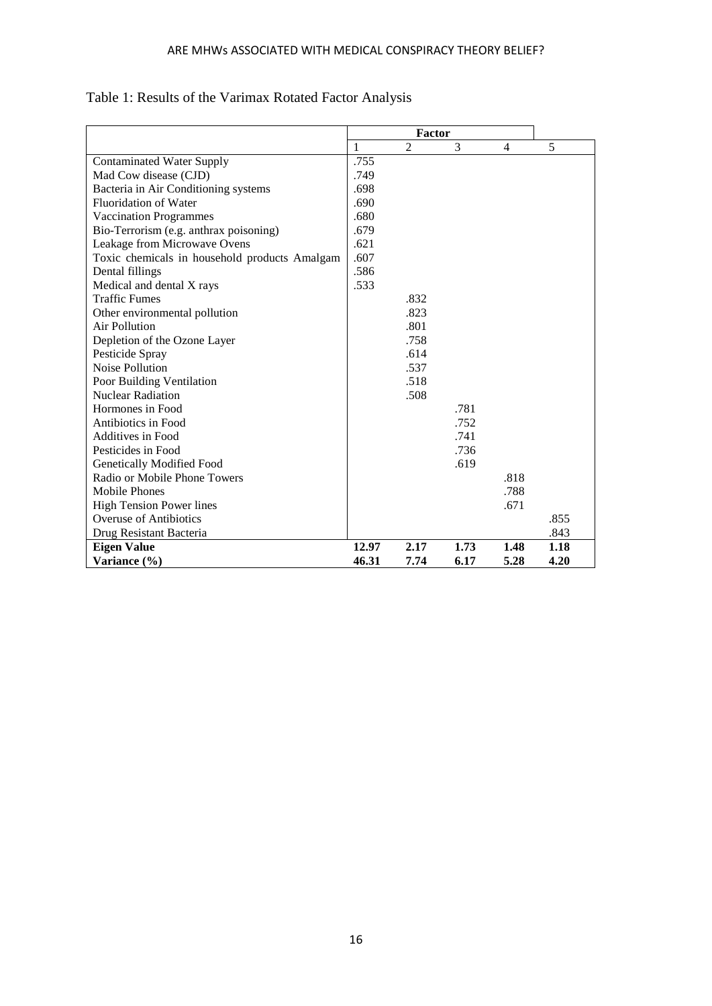|                                               | 1     | $\overline{c}$ | 3    | $\overline{4}$ | 5    |
|-----------------------------------------------|-------|----------------|------|----------------|------|
| <b>Contaminated Water Supply</b>              | .755  |                |      |                |      |
| Mad Cow disease (CJD)                         | .749  |                |      |                |      |
| Bacteria in Air Conditioning systems          | .698  |                |      |                |      |
| <b>Fluoridation of Water</b>                  | .690  |                |      |                |      |
| <b>Vaccination Programmes</b>                 | .680  |                |      |                |      |
| Bio-Terrorism (e.g. anthrax poisoning)        | .679  |                |      |                |      |
| Leakage from Microwave Ovens                  | .621  |                |      |                |      |
| Toxic chemicals in household products Amalgam | .607  |                |      |                |      |
| Dental fillings                               | .586  |                |      |                |      |
| Medical and dental X rays                     | .533  |                |      |                |      |
| <b>Traffic Fumes</b>                          |       | .832           |      |                |      |
| Other environmental pollution                 |       | .823           |      |                |      |
| Air Pollution                                 |       | .801           |      |                |      |
| Depletion of the Ozone Layer                  |       | .758           |      |                |      |
| Pesticide Spray                               |       | .614           |      |                |      |
| Noise Pollution                               |       | .537           |      |                |      |
| Poor Building Ventilation                     |       | .518           |      |                |      |
| <b>Nuclear Radiation</b>                      |       | .508           |      |                |      |
| Hormones in Food                              |       |                | .781 |                |      |
| Antibiotics in Food                           |       |                | .752 |                |      |
| Additives in Food                             |       |                | .741 |                |      |
| Pesticides in Food                            |       |                | .736 |                |      |
| <b>Genetically Modified Food</b>              |       |                | .619 |                |      |
| Radio or Mobile Phone Towers                  |       |                |      | .818           |      |
| <b>Mobile Phones</b>                          |       |                |      | .788           |      |
| <b>High Tension Power lines</b>               |       |                |      | .671           |      |
| <b>Overuse of Antibiotics</b>                 |       |                |      |                | .855 |
| Drug Resistant Bacteria                       |       |                |      |                | .843 |
| <b>Eigen Value</b>                            | 12.97 | 2.17           | 1.73 | 1.48           | 1.18 |
| Variance (%)                                  | 46.31 | 7.74           | 6.17 | 5.28           | 4.20 |

## Table 1: Results of the Varimax Rotated Factor Analysis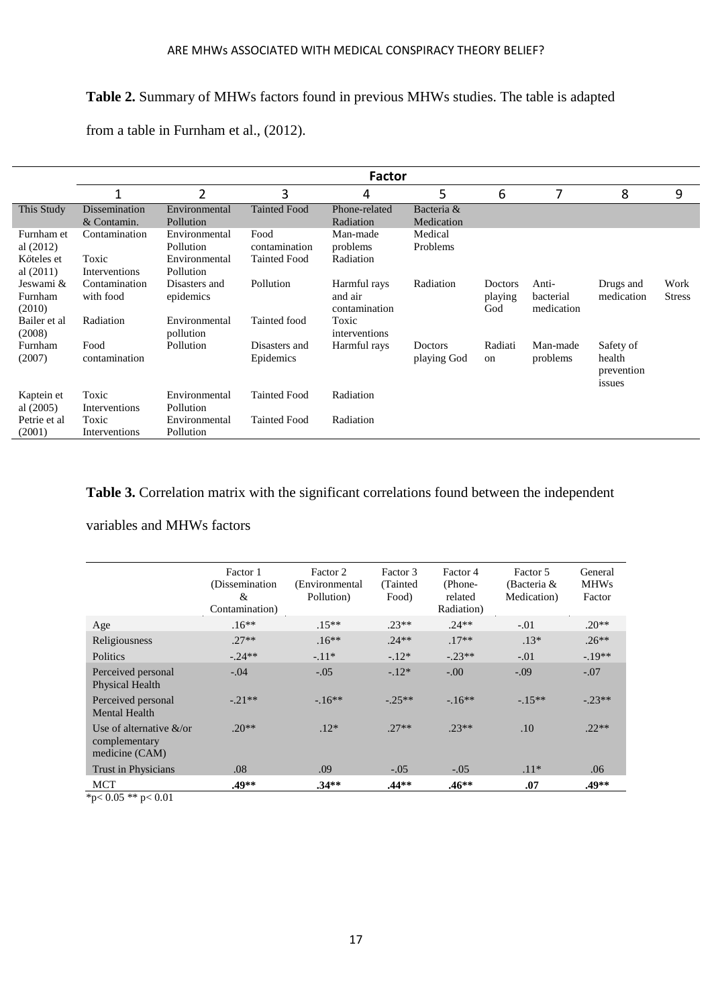## **Table 2.** Summary of MHWs factors found in previous MHWs studies. The table is adapted

|                                                        | Factor                                  |                                                          |                                              |                                          |                          |                           |                                  |                                             |                       |
|--------------------------------------------------------|-----------------------------------------|----------------------------------------------------------|----------------------------------------------|------------------------------------------|--------------------------|---------------------------|----------------------------------|---------------------------------------------|-----------------------|
|                                                        | 1                                       | 2                                                        | 3                                            | 4                                        | 5                        | 6                         | 7                                | 8                                           | 9                     |
| This Study                                             | Dissemination<br>& Contamin.            | Environmental<br>Pollution                               | <b>Tainted Food</b>                          | Phone-related<br>Radiation               | Bacteria &<br>Medication |                           |                                  |                                             |                       |
| Furnham et<br>al $(2012)$<br>Köteles et<br>al $(2011)$ | Contamination<br>Toxic<br>Interventions | Environmental<br>Pollution<br>Environmental<br>Pollution | Food<br>contamination<br><b>Tainted Food</b> | Man-made<br>problems<br>Radiation        | Medical<br>Problems      |                           |                                  |                                             |                       |
| Jeswami &<br>Furnham<br>(2010)                         | Contamination<br>with food              | Disasters and<br>epidemics                               | Pollution                                    | Harmful rays<br>and air<br>contamination | Radiation                | Doctors<br>playing<br>God | Anti-<br>bacterial<br>medication | Drugs and<br>medication                     | Work<br><b>Stress</b> |
| Bailer et al<br>(2008)                                 | Radiation                               | Environmental<br>pollution                               | Tainted food                                 | Toxic<br>interventions                   |                          |                           |                                  |                                             |                       |
| Furnham<br>(2007)                                      | Food<br>contamination                   | Pollution                                                | Disasters and<br>Epidemics                   | Harmful rays                             | Doctors<br>playing God   | Radiati<br>on             | Man-made<br>problems             | Safety of<br>health<br>prevention<br>issues |                       |
| Kaptein et<br>al $(2005)$                              | Toxic<br>Interventions                  | Environmental<br>Pollution                               | <b>Tainted Food</b>                          | Radiation                                |                          |                           |                                  |                                             |                       |
| Petrie et al<br>(2001)                                 | Toxic<br>Interventions                  | Environmental<br>Pollution                               | <b>Tainted Food</b>                          | Radiation                                |                          |                           |                                  |                                             |                       |

from a table in Furnham et al., (2012).

## Table 3. Correlation matrix with the significant correlations found between the independent

variables and MHWs factors

|                                                                | Factor 1<br>(Dissemination)<br>&<br>Contamination) | Factor 2<br>(Environmental)<br>Pollution) | Factor 3<br>(Tainted)<br>Food) | Factor 4<br>(Phone-<br>related<br>Radiation) | Factor 5<br>(Bacteria &<br>Medication) | General<br><b>MHWs</b><br>Factor |
|----------------------------------------------------------------|----------------------------------------------------|-------------------------------------------|--------------------------------|----------------------------------------------|----------------------------------------|----------------------------------|
| Age                                                            | $.16**$                                            | $.15**$                                   | $.23**$                        | $.24**$                                      | $-.01$                                 | $.20**$                          |
| Religiousness                                                  | $.27**$                                            | $.16**$                                   | $.24**$                        | $.17**$                                      | $.13*$                                 | $.26**$                          |
| <b>Politics</b>                                                | $-24**$                                            | $-11*$                                    | $-12*$                         | $-23**$                                      | $-.01$                                 | $-.19**$                         |
| Perceived personal<br>Physical Health                          | $-.04$                                             | $-.05$                                    | $-12*$                         | $-0.00$                                      | $-.09$                                 | $-.07$                           |
| Perceived personal<br>Mental Health                            | $-.21**$                                           | $-16**$                                   | $-25**$                        | $-16**$                                      | $-15**$                                | $-0.23**$                        |
| Use of alternative $\&$ /or<br>complementary<br>medicine (CAM) | $20**$                                             | $.12*$                                    | $.27**$                        | $.23**$                                      | .10                                    | $.22**$                          |
| Trust in Physicians                                            | .08                                                | .09                                       | $-.05$                         | $-.05$                                       | $.11*$                                 | .06                              |
| MCT                                                            | .49**                                              | $.34**$                                   | .44**                          | $.46**$                                      | .07                                    | .49**                            |

 $*p< 0.05**p< 0.01$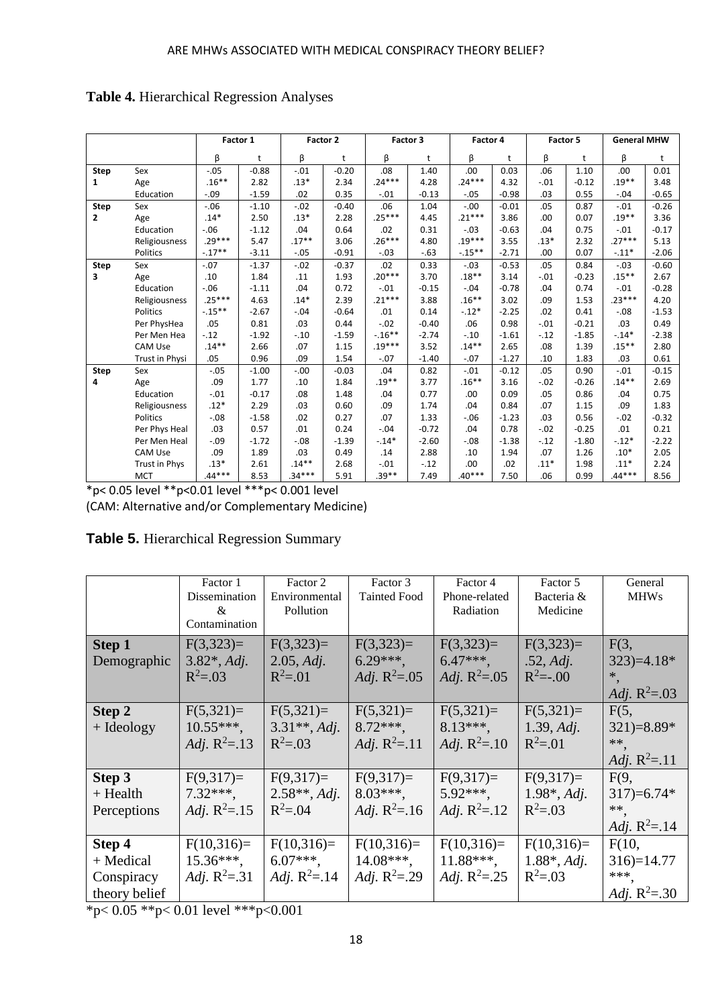|              |                |           | Factor 1 |          | Factor 2 |           | Factor 3 | Factor 4  |         | Factor 5 |         | <b>General MHW</b> |         |
|--------------|----------------|-----------|----------|----------|----------|-----------|----------|-----------|---------|----------|---------|--------------------|---------|
|              |                | β         | t        | β        | t        | β         | t        | β         | t       | β        | t       | β                  | t       |
| Step         | Sex            | $-.05$    | $-0.88$  | $-.01$   | $-0.20$  | .08       | 1.40     | .00       | 0.03    | .06      | 1.10    | .00                | 0.01    |
| $\mathbf{1}$ | Age            | $.16***$  | 2.82     | $.13*$   | 2.34     | $.24***$  | 4.28     | $.24***$  | 4.32    | $-.01$   | $-0.12$ | $.19***$           | 3.48    |
|              | Education      | $-.09$    | $-1.59$  | .02      | 0.35     | $-.01$    | $-0.13$  | $-.05$    | $-0.98$ | .03      | 0.55    | $-.04$             | $-0.65$ |
| Step         | Sex            | $-0.06$   | $-1.10$  | $-.02$   | $-0.40$  | .06       | 1.04     | $-.00$    | $-0.01$ | .05      | 0.87    | $-.01$             | $-0.26$ |
| $\mathbf{2}$ | Age            | $.14*$    | 2.50     | $.13*$   | 2.28     | $.25***$  | 4.45     | $.21***$  | 3.86    | .00      | 0.07    | $.19**$            | 3.36    |
|              | Education      | $-0.06$   | $-1.12$  | .04      | 0.64     | .02       | 0.31     | $-.03$    | $-0.63$ | .04      | 0.75    | $-.01$             | $-0.17$ |
|              | Religiousness  | $.29***$  | 5.47     | $.17**$  | 3.06     | $.26***$  | 4.80     | $.19***$  | 3.55    | $.13*$   | 2.32    | $.27***$           | 5.13    |
|              | Politics       | $-.17**$  | $-3.11$  | $-.05$   | $-0.91$  | $-.03$    | $-.63$   | $-.15***$ | $-2.71$ | .00      | 0.07    | $-.11*$            | $-2.06$ |
| Step         | Sex            | $-.07$    | $-1.37$  | $-.02$   | $-0.37$  | .02       | 0.33     | $-.03$    | $-0.53$ | .05      | 0.84    | $-.03$             | $-0.60$ |
| 3            | Age            | .10       | 1.84     | .11      | 1.93     | $.20***$  | 3.70     | $.18**$   | 3.14    | $-.01$   | $-0.23$ | $.15***$           | 2.67    |
|              | Education      | $-.06$    | $-1.11$  | .04      | 0.72     | $-.01$    | $-0.15$  | $-.04$    | $-0.78$ | .04      | 0.74    | $-.01$             | $-0.28$ |
|              | Religiousness  | $.25***$  | 4.63     | $.14*$   | 2.39     | $.21***$  | 3.88     | $.16***$  | 3.02    | .09      | 1.53    | $.23***$           | 4.20    |
|              | Politics       | $-.15***$ | $-2.67$  | $-.04$   | $-0.64$  | .01       | 0.14     | $-.12*$   | $-2.25$ | .02      | 0.41    | $-.08$             | $-1.53$ |
|              | Per PhysHea    | .05       | 0.81     | .03      | 0.44     | $-.02$    | $-0.40$  | .06       | 0.98    | $-.01$   | $-0.21$ | .03                | 0.49    |
|              | Per Men Hea    | $-.12$    | $-1.92$  | $-.10$   | $-1.59$  | $-.16***$ | $-2.74$  | $-.10$    | $-1.61$ | $-.12$   | $-1.85$ | $-.14*$            | $-2.38$ |
|              | <b>CAM Use</b> | $.14**$   | 2.66     | .07      | 1.15     | $.19***$  | 3.52     | $.14**$   | 2.65    | .08      | 1.39    | $.15***$           | 2.80    |
|              | Trust in Physi | .05       | 0.96     | .09      | 1.54     | $-.07$    | $-1.40$  | $-.07$    | $-1.27$ | .10      | 1.83    | .03                | 0.61    |
| Step         | Sex            | $-.05$    | $-1.00$  | $-.00$   | $-0.03$  | .04       | 0.82     | $-.01$    | $-0.12$ | .05      | 0.90    | $-.01$             | $-0.15$ |
| 4            | Age            | .09       | 1.77     | .10      | 1.84     | $.19***$  | 3.77     | $.16***$  | 3.16    | $-.02$   | $-0.26$ | $.14**$            | 2.69    |
|              | Education      | $-.01$    | $-0.17$  | .08      | 1.48     | .04       | 0.77     | .00       | 0.09    | .05      | 0.86    | .04                | 0.75    |
|              | Religiousness  | $.12*$    | 2.29     | .03      | 0.60     | .09       | 1.74     | .04       | 0.84    | .07      | 1.15    | .09                | 1.83    |
|              | Politics       | $-0.08$   | $-1.58$  | .02      | 0.27     | .07       | 1.33     | $-.06$    | $-1.23$ | .03      | 0.56    | $-.02$             | $-0.32$ |
|              | Per Phys Heal  | .03       | 0.57     | .01      | 0.24     | $-.04$    | $-0.72$  | .04       | 0.78    | $-.02$   | $-0.25$ | .01                | 0.21    |
|              | Per Men Heal   | $-.09$    | $-1.72$  | $-.08$   | $-1.39$  | $-.14*$   | $-2.60$  | $-.08$    | $-1.38$ | $-.12$   | $-1.80$ | $-.12*$            | $-2.22$ |
|              | <b>CAM Use</b> | .09       | 1.89     | .03      | 0.49     | .14       | 2.88     | .10       | 1.94    | .07      | 1.26    | $.10*$             | 2.05    |
|              | Trust in Phys  | $.13*$    | 2.61     | $.14***$ | 2.68     | $-.01$    | $-.12$   | .00.      | .02     | $.11*$   | 1.98    | $.11*$             | 2.24    |
|              | <b>MCT</b>     | $.44***$  | 8.53     | $.34***$ | 5.91     | $.39***$  | 7.49     | $.40***$  | 7.50    | .06      | 0.99    | 44***              | 8.56    |

**Table 4.** Hierarchical Regression Analyses

\*p< 0.05 level \*\*p<0.01 level \*\*\*p< 0.001 level (CAM: Alternative and/or Complementary Medicine)

| Table 5. Hierarchical Regression Summary |  |  |
|------------------------------------------|--|--|
|------------------------------------------|--|--|

|                                                                        | Factor 1<br>Dissemination<br>&<br>Contamination                                    | Factor 2<br>Environmental<br>Pollution               | Factor 3<br><b>Tainted Food</b>                     | Factor 4<br>Phone-related<br>Radiation                | Factor 5<br>Bacteria &<br>Medicine                    | General<br><b>MHWs</b>                                   |
|------------------------------------------------------------------------|------------------------------------------------------------------------------------|------------------------------------------------------|-----------------------------------------------------|-------------------------------------------------------|-------------------------------------------------------|----------------------------------------------------------|
| <b>Step 1</b><br>Demographic                                           | $F(3,323)=$<br>$3.82^*$ , Adj.<br>$R^2 = 0.03$                                     | $F(3,323)=$<br>2.05, Adi.<br>$R^2 = 01$              | $F(3,323)=$<br>$6.29***$<br><i>Adj.</i> $R^2 = .05$ | $F(3,323)=$<br>$6.47***$ ,<br><i>Adj.</i> $R^2 = .05$ | $F(3,323)=$<br>.52, Adj.<br>$R^2 = -0.00$             | F(3,<br>$323$ )=4.18*<br>*,<br><i>Adj.</i> $R^2 = .03$   |
| Step 2<br>$+$ Ideology                                                 | $F(5,321)=$<br>$10.55***$ ,<br><i>Adj.</i> $R^2 = .13$                             | $F(5,321)=$<br>$3.31**$ , Adj.<br>$R^2 = .03$        | $F(5,321)=$<br>$8.72***$<br><i>Adj.</i> $R^2 = .11$ | $F(5,321)=$<br>$8.13***$<br><i>Adj.</i> $R^2 = .10$   | $F(5,321)=$<br>1.39, Adj.<br>$R^2 = 01$               | F(5,<br>$321 = 8.89*$<br>**<br>Adj. $R^2 = .11$          |
| Step 3<br>$+$ Health<br>Perceptions                                    | $F(9,317)=$<br>$7.32***$<br><i>Adj.</i> $R^2 = .15$                                | $F(9,317)=$<br>$2.58**$ , Adj.<br>$R^2 = 0.04$       | $F(9,317)=$<br>$8.03***$<br><i>Adj.</i> $R^2 = .16$ | $F(9,317)=$<br>$5.92***$<br><i>Adj.</i> $R^2 = .12$   | $F(9,317)=$<br>$1.98^*$ , Adj.<br>$R^2 = 0.03$        | F(9,<br>$317 = 6.74*$<br>**.<br><i>Adj.</i> $R^2 = .14$  |
| Step 4<br>+ Medical<br>Conspiracy<br>theory belief<br>المناسبة المتحدث | $F(10,316)=$<br>$15.36***$<br><i>Adj.</i> $R^2 = .31$<br>$0.011 - 1$ think $0.001$ | $F(10,316)=$<br>$6.07***$<br><i>Adj.</i> $R^2 = .14$ | $F(10,316)=$<br>$14.08***$<br>Adj. $R^2 = .29$      | $F(10,316)=$<br>$11.88***$<br><i>Adj.</i> $R^2 = .25$ | $F(10,316)=$<br>$1.88^*$ , <i>Adj.</i><br>$R^2 = .03$ | F(10,<br>$316 = 14.77$<br>***<br><i>Adj.</i> $R^2 = .30$ |

\*p< 0.05 \*\*p< 0.01 level \*\*\*p<0.001